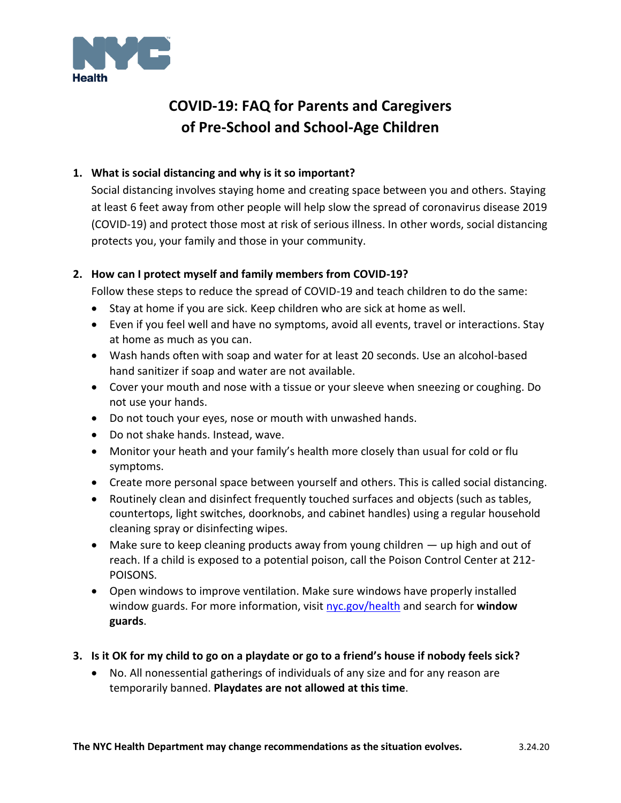

# **COVID-19: FAQ for Parents and Caregivers of Pre-School and School-Age Children**

## **1. What is social distancing and why is it so important?**

Social distancing involves staying home and creating space between you and others. Staying at least 6 feet away from other people will help slow the spread of coronavirus disease 2019 (COVID-19) and protect those most at risk of serious illness. In other words, social distancing protects you, your family and those in your community.

## **2. How can I protect myself and family members from COVID-19?**

Follow these steps to reduce the spread of COVID-19 and teach children to do the same:

- Stay at home if you are sick. Keep children who are sick at home as well.
- Even if you feel well and have no symptoms, avoid all events, travel or interactions. Stay at home as much as you can.
- Wash hands often with soap and water for at least 20 seconds. Use an alcohol-based hand sanitizer if soap and water are not available.
- Cover your mouth and nose with a tissue or your sleeve when sneezing or coughing. Do not use your hands.
- Do not touch your eyes, nose or mouth with unwashed hands.
- Do not shake hands. Instead, wave.
- Monitor your heath and your family's health more closely than usual for cold or flu symptoms.
- Create more personal space between yourself and others. This is called social distancing.
- Routinely clean and disinfect frequently touched surfaces and objects (such as tables, countertops, light switches, doorknobs, and cabinet handles) using a regular household cleaning spray or disinfecting wipes.
- Make sure to keep cleaning products away from young children up high and out of reach. If a child is exposed to a potential poison, call the Poison Control Center at 212- POISONS.
- Open windows to improve ventilation. Make sure windows have properly installed window guards. For more information, visi[t nyc.gov/health](http://nyc.gov/health) and search for **window guards**.
- **3. Is it OK for my child to go on a playdate or go to a friend's house if nobody feels sick?**
	- No. All nonessential gatherings of individuals of any size and for any reason are temporarily banned. **Playdates are not allowed at this time**.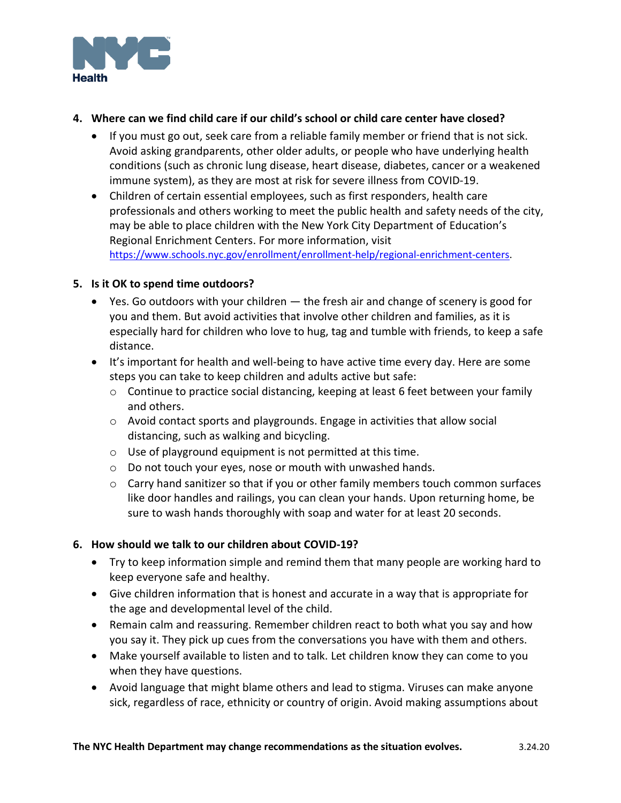

### **4. Where can we find child care if our child's school or child care center have closed?**

- If you must go out, seek care from a reliable family member or friend that is not sick. Avoid asking grandparents, other older adults, or people who have underlying health conditions (such as chronic lung disease, heart disease, diabetes, cancer or a weakened immune system), as they are most at risk for severe illness from COVID-19.
- Children of certain essential employees, such as first responders, health care professionals and others working to meet the public health and safety needs of the city, may be able to place children with the New York City Department of Education's Regional Enrichment Centers. For more information, visit [https://www.schools.nyc.gov/enrollment/enrollment-help/regional-enrichment-centers.](https://www.schools.nyc.gov/enrollment/enrollment-help/regional-enrichment-centers)

#### **5. Is it OK to spend time outdoors?**

- Yes. Go outdoors with your children the fresh air and change of scenery is good for you and them. But avoid activities that involve other children and families, as it is especially hard for children who love to hug, tag and tumble with friends, to keep a safe distance.
- It's important for health and well-being to have active time every day. Here are some steps you can take to keep children and adults active but safe:
	- o Continue to practice social distancing, keeping at least 6 feet between your family and others.
	- o Avoid contact sports and playgrounds. Engage in activities that allow social distancing, such as walking and bicycling.
	- o Use of playground equipment is not permitted at this time.
	- o Do not touch your eyes, nose or mouth with unwashed hands.
	- $\circ$  Carry hand sanitizer so that if you or other family members touch common surfaces like door handles and railings, you can clean your hands. Upon returning home, be sure to wash hands thoroughly with soap and water for at least 20 seconds.

#### **6. How should we talk to our children about COVID-19?**

- Try to keep information simple and remind them that many people are working hard to keep everyone safe and healthy.
- Give children information that is honest and accurate in a way that is appropriate for the age and developmental level of the child.
- Remain calm and reassuring. Remember children react to both what you say and how you say it. They pick up cues from the conversations you have with them and others.
- Make yourself available to listen and to talk. Let children know they can come to you when they have questions.
- Avoid language that might blame others and lead to stigma. Viruses can make anyone sick, regardless of race, ethnicity or country of origin. Avoid making assumptions about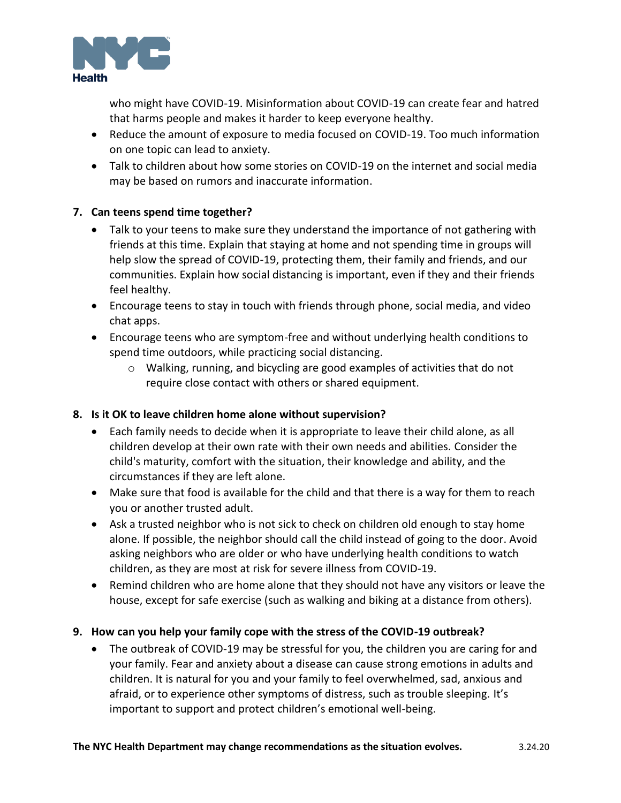

who might have COVID-19. Misinformation about COVID-19 can create fear and hatred that harms people and makes it harder to keep everyone healthy.

- Reduce the amount of exposure to media focused on COVID-19. Too much information on one topic can lead to anxiety.
- Talk to children about how some stories on COVID-19 on the internet and social media may be based on rumors and inaccurate information.

## **7. Can teens spend time together?**

- Talk to your teens to make sure they understand the importance of not gathering with friends at this time. Explain that staying at home and not spending time in groups will help slow the spread of COVID-19, protecting them, their family and friends, and our communities. Explain how social distancing is important, even if they and their friends feel healthy.
- Encourage teens to stay in touch with friends through phone, social media, and video chat apps.
- Encourage teens who are symptom-free and without underlying health conditions to spend time outdoors, while practicing social distancing.
	- o Walking, running, and bicycling are good examples of activities that do not require close contact with others or shared equipment.

#### **8. Is it OK to leave children home alone without supervision?**

- Each family needs to decide when it is appropriate to leave their child alone, as all children develop at their own rate with their own needs and abilities. Consider the child's maturity, comfort with the situation, their knowledge and ability, and the circumstances if they are left alone.
- Make sure that food is available for the child and that there is a way for them to reach you or another trusted adult.
- Ask a trusted neighbor who is not sick to check on children old enough to stay home alone. If possible, the neighbor should call the child instead of going to the door. Avoid asking neighbors who are older or who have underlying health conditions to watch children, as they are most at risk for severe illness from COVID-19.
- Remind children who are home alone that they should not have any visitors or leave the house, except for safe exercise (such as walking and biking at a distance from others).

## **9. How can you help your family cope with the stress of the COVID-19 outbreak?**

• The outbreak of COVID-19 may be stressful for you, the children you are caring for and your family. Fear and anxiety about a disease can cause strong emotions in adults and children. It is natural for you and your family to feel overwhelmed, sad, anxious and afraid, or to experience other symptoms of distress, such as trouble sleeping. It's important to support and protect children's emotional well-being.